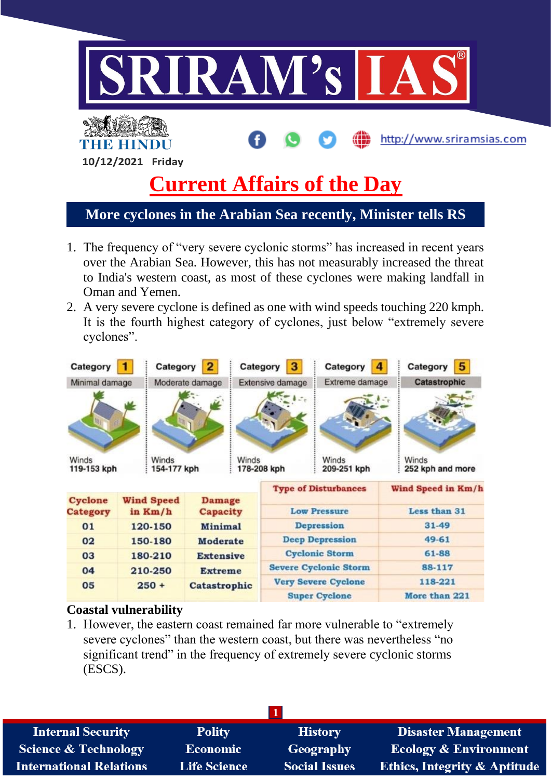

- 1. The frequency of "very severe cyclonic storms" has increased in recent years over the Arabian Sea. However, this has not measurably increased the threat to India's western coast, as most of these cyclones were making landfall in Oman and Yemen.
- 2. A very severe cyclone is defined as one with wind speeds touching 220 kmph. It is the fourth highest category of cyclones, just below "extremely severe cyclones".

| Category                                     | Category                     |                                     |                           | Category                                        | Category                    | 5<br>Category             |  |
|----------------------------------------------|------------------------------|-------------------------------------|---------------------------|-------------------------------------------------|-----------------------------|---------------------------|--|
| Minimal damage                               |                              | Moderate damage                     |                           | Extensive damage                                | Extreme damage              | Catastrophic              |  |
|                                              |                              |                                     |                           |                                                 |                             |                           |  |
| Winds<br>Winds<br>154-177 kph<br>119-153 kph |                              | Winds                               |                           | Winds<br>178-208 kph<br>209-251 kph             |                             | Winds<br>252 kph and more |  |
|                                              |                              |                                     |                           |                                                 | <b>Type of Disturbances</b> | Wind Speed in Km/h        |  |
| Cyclone<br><b>Category</b>                   | <b>Wind Speed</b><br>in Km/h |                                     | <b>Damage</b><br>Capacity |                                                 | <b>Low Pressure</b>         | Less than 31<br>$31 - 49$ |  |
| 01                                           | 120-150                      | <b>Minimal</b>                      |                           | Depression                                      |                             |                           |  |
| 02                                           | 150-180                      | <b>Moderate</b><br><b>Extensive</b> |                           | <b>Deep Depression</b><br><b>Cyclonic Storm</b> |                             | 49-61<br>61-88            |  |
| 03                                           | 180-210                      |                                     |                           |                                                 |                             |                           |  |
| 04                                           | 210-250                      | <b>Extreme</b>                      |                           | <b>Severe Cyclonic Storm</b>                    |                             | 88-117                    |  |
| 05                                           | $250 +$                      | Catastrophic                        |                           |                                                 | <b>Very Severe Cyclone</b>  | 118-221                   |  |
|                                              |                              |                                     |                           |                                                 | <b>Super Cyclone</b>        | More than 221             |  |

#### **Coastal vulnerability**

1. However, the eastern coast remained far more vulnerable to "extremely severe cyclones" than the western coast, but there was nevertheless "no significant trend" in the frequency of extremely severe cyclonic storms (ESCS).

| <b>Internal Security</b>        | <b>Polity</b>       | <b>History</b>       | <b>Disaster Management</b>              |
|---------------------------------|---------------------|----------------------|-----------------------------------------|
| <b>Science &amp; Technology</b> | <b>Economic</b>     | <b>Geography</b>     | <b>Ecology &amp; Environment</b>        |
| <b>International Relations</b>  | <b>Life Science</b> | <b>Social Issues</b> | <b>Ethics, Integrity &amp; Aptitude</b> |
|                                 |                     |                      |                                         |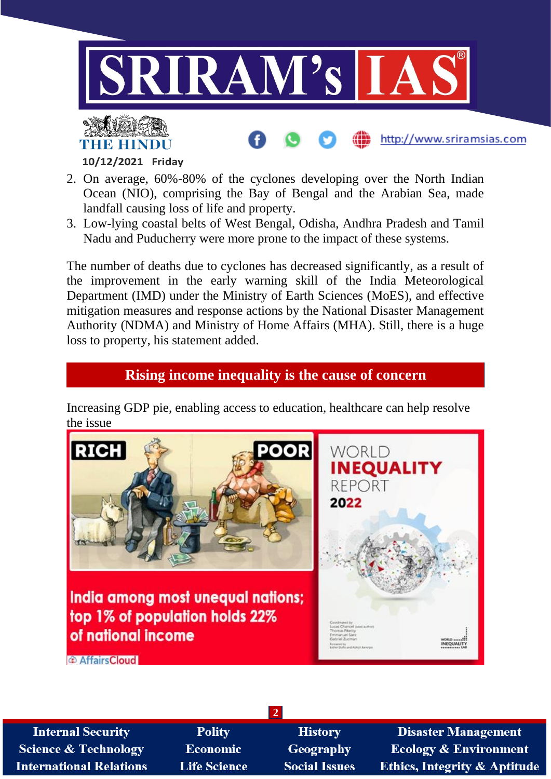

#### **10/12/2021 Friday**

- 2. On average, 60%-80% of the cyclones developing over the North Indian Ocean (NIO), comprising the Bay of Bengal and the Arabian Sea, made landfall causing loss of life and property.
- 3. Low-lying coastal belts of West Bengal, Odisha, Andhra Pradesh and Tamil Nadu and Puducherry were more prone to the impact of these systems.

The number of deaths due to cyclones has decreased significantly, as a result of the improvement in the early warning skill of the India Meteorological Department (IMD) under the Ministry of Earth Sciences (MoES), and effective mitigation measures and response actions by the National Disaster Management Authority (NDMA) and Ministry of Home Affairs (MHA). Still, there is a huge loss to property, his statement added.

# **Rising income inequality is the cause of concern**

Increasing GDP pie, enabling access to education, healthcare can help resolve the issue



**2**

**Internal Security Science & Technology International Relations** 

**Polity** Economic **Life Science** 

**History** Geography **Social Issues** 

**Disaster Management Ecology & Environment Ethics, Integrity & Aptitude**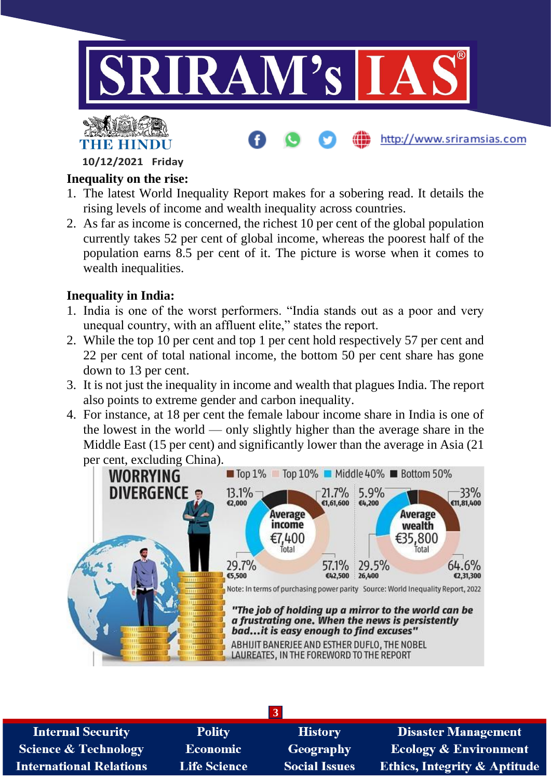



http://www.sriramsias.com

**10/12/2021 Friday**

### **Inequality on the rise:**

- 1. The latest World Inequality Report makes for a sobering read. It details the rising levels of income and wealth inequality across countries.
- 2. As far as income is concerned, the richest 10 per cent of the global population currently takes 52 per cent of global income, whereas the poorest half of the population earns 8.5 per cent of it. The picture is worse when it comes to wealth inequalities.

## **Inequality in India:**

- 1. India is one of the worst performers. "India stands out as a poor and very unequal country, with an affluent elite," states the report.
- 2. While the top 10 per cent and top 1 per cent hold respectively 57 per cent and 22 per cent of total national income, the bottom 50 per cent share has gone down to 13 per cent.
- 3. It is not just the inequality in income and wealth that plagues India. The report also points to extreme gender and carbon inequality.
- 4. For instance, at 18 per cent the female labour income share in India is one of the lowest in the world — only slightly higher than the average share in the Middle East (15 per cent) and significantly lower than the average in Asia (21 per cent, excluding China).



| <b>Internal Security</b>        | <b>Polity</b>       | <b>History</b>       | <b>Disaster Management</b>              |
|---------------------------------|---------------------|----------------------|-----------------------------------------|
| <b>Science &amp; Technology</b> | <b>Economic</b>     | Geography            | <b>Ecology &amp; Environment</b>        |
| <b>International Relations</b>  | <b>Life Science</b> | <b>Social Issues</b> | <b>Ethics, Integrity &amp; Aptitude</b> |